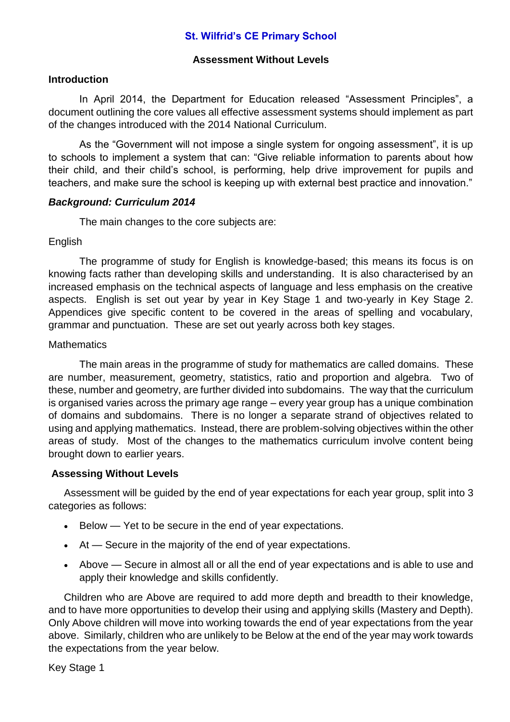# **St. Wilfrid's CE Primary School**

# **Assessment Without Levels**

### **Introduction**

In April 2014, the Department for Education released "Assessment Principles", a document outlining the core values all effective assessment systems should implement as part of the changes introduced with the 2014 National Curriculum.

As the "Government will not impose a single system for ongoing assessment", it is up to schools to implement a system that can: "Give reliable information to parents about how their child, and their child's school, is performing, help drive improvement for pupils and teachers, and make sure the school is keeping up with external best practice and innovation."

#### *Background: Curriculum 2014*

The main changes to the core subjects are:

#### **English**

The programme of study for English is knowledge-based; this means its focus is on knowing facts rather than developing skills and understanding. It is also characterised by an increased emphasis on the technical aspects of language and less emphasis on the creative aspects. English is set out year by year in Key Stage 1 and two-yearly in Key Stage 2. Appendices give specific content to be covered in the areas of spelling and vocabulary, grammar and punctuation. These are set out yearly across both key stages.

# **Mathematics**

The main areas in the programme of study for mathematics are called domains. These are number, measurement, geometry, statistics, ratio and proportion and algebra. Two of these, number and geometry, are further divided into subdomains. The way that the curriculum is organised varies across the primary age range – every year group has a unique combination of domains and subdomains. There is no longer a separate strand of objectives related to using and applying mathematics. Instead, there are problem-solving objectives within the other areas of study. Most of the changes to the mathematics curriculum involve content being brought down to earlier years.

# **Assessing Without Levels**

Assessment will be guided by the end of year expectations for each year group, split into 3 categories as follows:

- Below Yet to be secure in the end of year expectations.
- At Secure in the majority of the end of year expectations.
- Above Secure in almost all or all the end of year expectations and is able to use and apply their knowledge and skills confidently.

Children who are Above are required to add more depth and breadth to their knowledge, and to have more opportunities to develop their using and applying skills (Mastery and Depth). Only Above children will move into working towards the end of year expectations from the year above. Similarly, children who are unlikely to be Below at the end of the year may work towards the expectations from the year below.

Key Stage 1